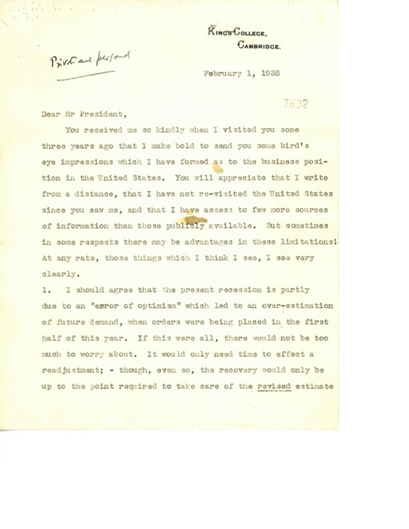**KING'S COLLEGE, OAMBRIDCE.**

Privational personal

February 1, 1938

## 7632

Dear Mr **President,**

You received me so kindly when I visited you some three years ago that I make bold to send you some bird's eye impressions which I have formed as to the business position in the United States. You will appreciate that I write from a distance, that I have not re-visited the United States since you saw me, and that I have access to few more sources of information than those publicly available. But sometimes in some respects there may be advantages in these limitations! At any rate, those things which I think 1 see, I see very clearly.

1. I should agree that the present recession is partly due to an "error of optimism" which led to an over-estimation of future demand, when orders were being placed in the first half of this year. If this were all, there would not be too much to worry about. It would only need time to effect a readjustment; - though, even so, the recovery would only be up to the point required to take care of the revised estimate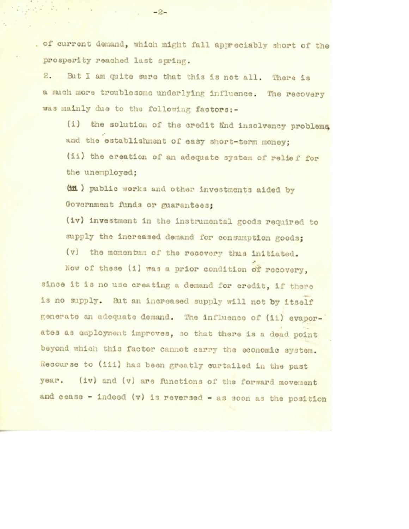of current demand, which might fall appreciably short of the prosperity reached last spring.

2. But I am quite sure that this is not all. There is a much more troublesome underlying influence. The recovery was mainly due to the following factors:-

(i) the solution of the credit änd insolvency problems, and the establishment of easy short-term money; (ii) the creation of an adequate system of relief for the unemployed;

(iii) public works and other investments aided by Government funds or guarantees;

(iv) investment in the instrumental goods required to supply the increased demand for consumption goods;

(v) the momentum of the recovery thus initiated.

Now of these (i) was a prior condition of recovery, since it is no use creating a demand for credit, if there is no supply. But an Increased supply will not by itself generate an adequate demand. The influence of (Ii) evaporates as employment Improves, 30 that there Is a dead point beyond which this factor cannot carry the economic system. Recourse to (ill) has been greatly curtailed In the past year. (Iv) and (v) are functions of the forward movement and cease - Indeed (v) is reversed - as soon as the position

-2-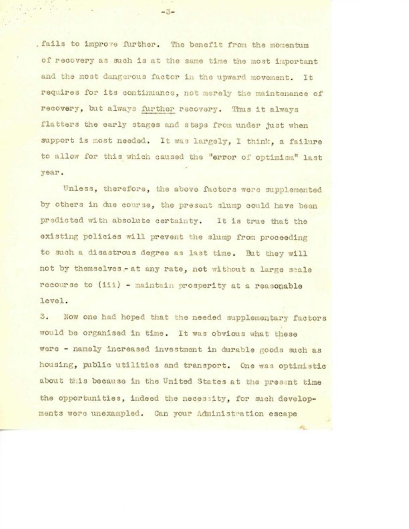fails to improve further. The benefit from the momentum of recovery as such Is at the same time the most important and the most dangerous factor in the upward movement. It requires for its continuance, not merely the maintenance of recovery, but always further recovery. Thus it always flatters the early stages and steps from under just when support is most needed. It was largely, I think, a failure to allow for this which caused the "error or optimism" last year.

Unless, therefore, the above factors were supplemented by others in due course, the present slump could have been predicted with absolute certainty. It is true that the existing policies will prevent the slump from proceeding to such a disastrous degree as last time. But they will not by themselves - at any rate, not without a large scale recourse to (iii) - maintain prosperity at a reasonable level.

3. Now one had hoped that the needed supplementary factors would be organised in time. It was obvious what these were - namely **Increased** investment in durable goods such as housing, public utilities and transport. One was optimistic about this because in the United States at the present time the opportunities, indeed the necessity, for such developments were unexampled. Can your **Administration** escape

 $-3-$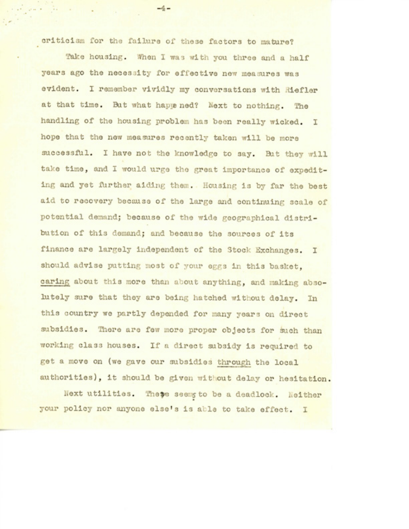criticism for the failure of these factors to mature?

Take housing. When I was with you three and a half years ago the necessity for effective new measures was evident. I remember vividly my conversations with Riefler at that time. But what happened? Next to nothing. The handling of the housing problem has been really wicked. I hope that the new measures recently taken will be more successful. I have not the knowledge to say. But they will take time, and I would urge the great importance of expediting and yet further aiding them. Housing Is by far the best aid to recovery because of the large and continuing scale of potential demand; because of the wide **geographical** distribution of this demand; and because the sources of its finance are largely independent of the Stock Exchanges. I should advise putting most of your eggs in this basket. caring about this more than about anything, and making absolutely sure that they are being hatched without delay. In this country we partly depended for many years on direct subsidies. There are few more proper objects for such than working class houses. If a direct subsidy Is required to get a move on (we gave our subsidies through the local authorities), it should be given without delay or hesitation.

Next utilities. These seemy to be a deadlock. Neither your policy nor anyone else's is able to take effect. I

 $-4-$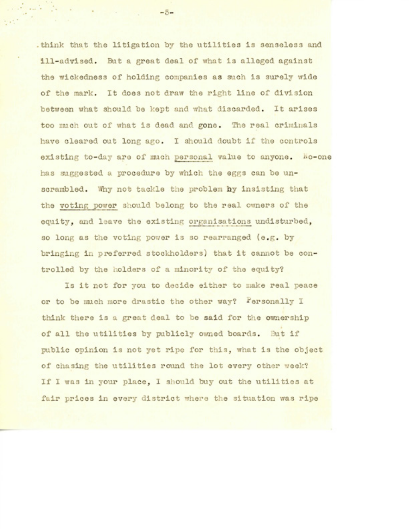.think that the litigation by the utilities is senseless and ill-advised. But a great deal of what is alleged against the wickedness of holding companies as such is surely wide of the mark. It does not draw the right line of division between what should be kept and what discarded. It arises too much out of what is dead and gone. The real criminals have cleared out long ago. I should doubt if the controls existing to-day are of much personal value to anyone. Mo-one has suggested a procedure by which the eggs can be unscrambled. Why not tackle the problem hy insisting that the voting power should belong to the real owners of the equity, and leave the existing organisations undisturbed, so long as the voting power is so rearranged (e.g. by bringing in preferred stockholders) that it cannot be controlled by the holders of a minority of the equity?

Is it not for you to decide either to make real peace or to be much more drastic the other way? Fersonally I think there is a great deal to be said for the ownership of all the utilities by publicly owned boards. But if public opinion is not yet ripe for this, what is the object of chasing the utilities round the lot every other week? If I was in your place, I should buy out the utilities at fair prices in every district where the situation was ripe

 $-5-$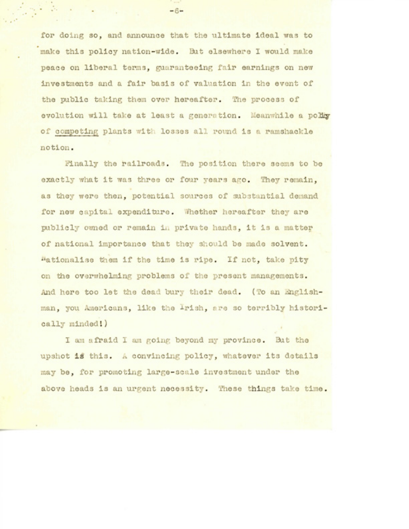for doing so, and announce that the ultimate ideal was to make this policy nation-wide. But elsewhere 1 would make peace on liberal terras, **guaranteeing** fair earnings on new investments and a fair basis of valuation in the event of the public taking them over hereafter. The process of evolution will take at least a generation. Meanwhile a policy of competing plants with losses all round is a ramshackle notion.

finally the railroads. The position there seems to be exactly what it was three or four years ago. They remain, as they were then, potential sources of substantial demand for new capital expenditure. Whether hereafter they are publicly owned or remain in private hands, it is a matter of national importance that they should be made solvent. Rationalise them if the time is ripe. If not, take pity on the overwhelming problems of the present managements. And here too let the dead bury their dead. (To an Englishman, you Americans, like the Irish, are so terribly historically minded'.)

I am afraid I am going beyond my province. But the upshot is this. A convincing policy, whatever its details may be, for promoting large-scale investment under the above heads is an urgent necessity. These things take time.

-6-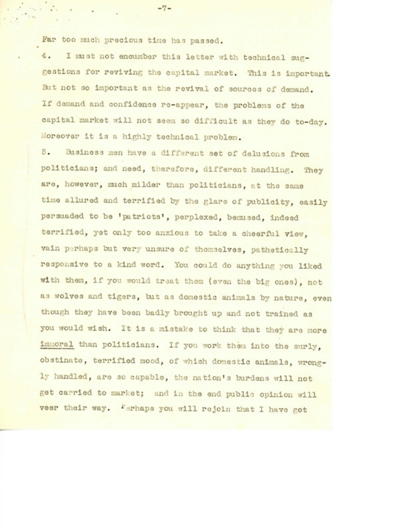Far too much precious time has passed.

4. I must not encumber this letter with technical suggestions for reviving the capital market. This is important. But not so important as the revival of sources of demand. If demand and confidence re-appear, the problems of the capital market will not seem so difficult as they do to-day. Moreover it is a highly technical problem.

5. Business men have a different set of delusions from politicians; and need, therefore, different handling. They are, however, much milder than politicians, at the same time allured and terrified by the glare of publicity, easily persuaded to be 'patriots', perplexed, bemused, indeed terrified, yet only too anxious to take a cheerful view, vain perhaps but very unsure of themselves, pathetically responsive to a kind word. You could do anything you liked with them, if **you** would treat them (even the big ones), not as wolves and tigers, but as domestic animals by nature, even though they have been badly brought up and not trained as you would wish. It is a mistake to think that they are more immoral than politicians. If you work them into the surly, obstinate, terrified mood, of which domestic animals, wrongly handled, are so capable, the nation's burdens will not get carried to market; and in the end public opinion will veer their way. Ferhaps you will rejoin that I have got

 $-7-$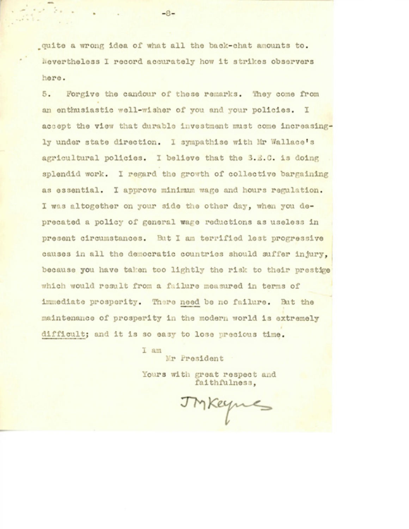\_quite a wrong idea of what all the **back-chat** araounts to. Nevertheless 1 record accurately how it strikes observers here.

5. Forgive the candour of these remarks. They come from an enthusiastic well-wisher of you and your policies. I accept the view that durable investment must come increasingly under state direction. I sympathise with Mr **Wallace's** agricultural policies. I believe that the S.E.C. is doing splendid work. I regard the growth of collective bargaining as essential. I approve minimum wage and hours regulation. I was altogether on your side the other day, when you deprecated a policy of general wage reductions as useless in present circumstances. But I am terrified lest progressive causes in all the democratic countries should suffer injury, because you have taken too lightly the risk to their prestige which would result from a failure measured in terms of immediate prosperity. There need be no failure. But the maintenance of prosperity in the modern world is extremely difficult; and it is so easy to lose precious time.

> I am Mr President

Yours with great respect and faithfulness,

IMKeynes

-8-